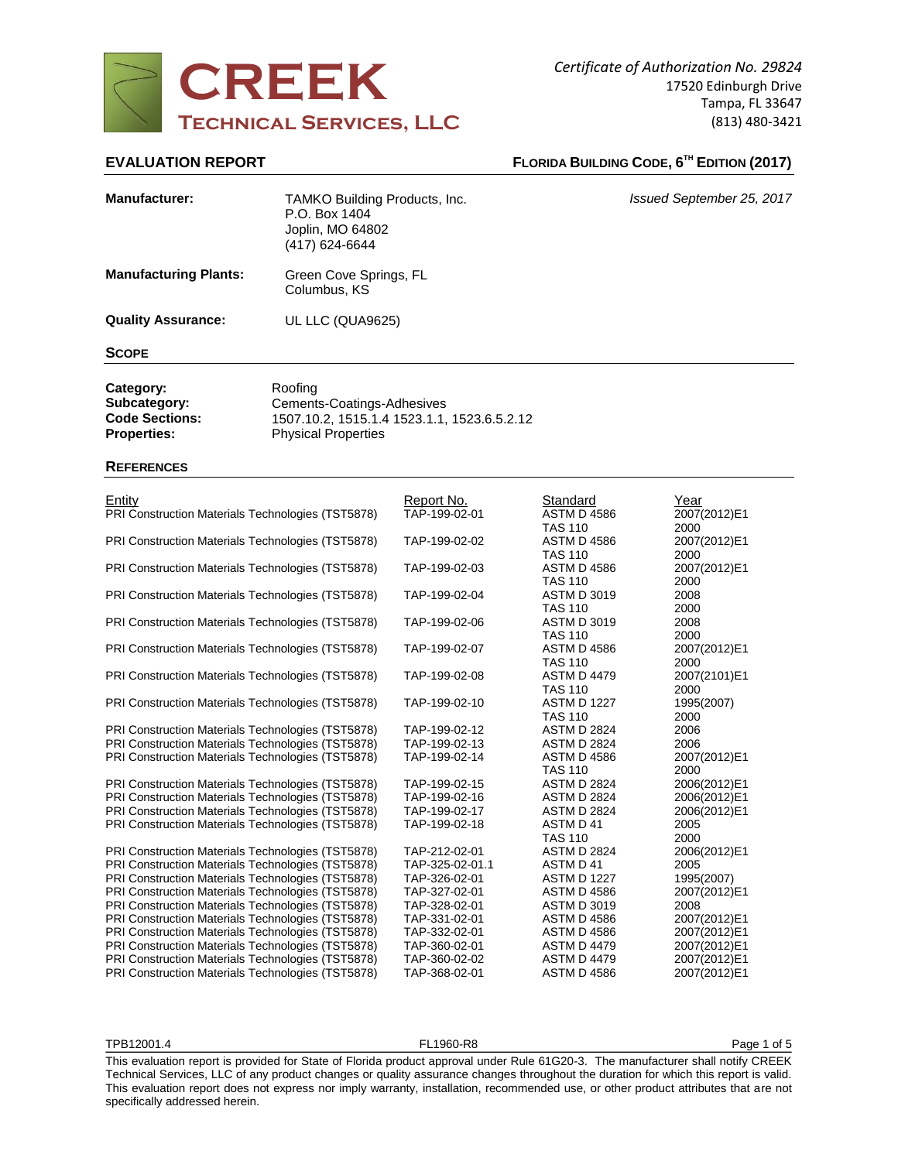

# **EVALUATION REPORT FLORIDA BUILDING CODE, 6<sup>TH</sup> EDITION (2017)**

| <b>Manufacturer:</b>                                                     | TAMKO Building Products, Inc.<br>P.O. Box 1404<br>Joplin, MO 64802<br>(417) 624-6644                               |                             |                                           | Issued September 25, 2017    |  |  |
|--------------------------------------------------------------------------|--------------------------------------------------------------------------------------------------------------------|-----------------------------|-------------------------------------------|------------------------------|--|--|
| <b>Manufacturing Plants:</b>                                             | Green Cove Springs, FL<br>Columbus, KS                                                                             |                             |                                           |                              |  |  |
| <b>Quality Assurance:</b>                                                | UL LLC (QUA9625)                                                                                                   |                             |                                           |                              |  |  |
| <b>SCOPE</b>                                                             |                                                                                                                    |                             |                                           |                              |  |  |
| Category:<br>Subcategory:<br><b>Code Sections:</b><br><b>Properties:</b> | Roofing<br>Cements-Coatings-Adhesives<br>1507.10.2, 1515.1.4 1523.1.1, 1523.6.5.2.12<br><b>Physical Properties</b> |                             |                                           |                              |  |  |
| <b>REFERENCES</b>                                                        |                                                                                                                    |                             |                                           |                              |  |  |
| <b>Entity</b><br>PRI Construction Materials Technologies (TST5878)       |                                                                                                                    | Report No.<br>TAP-199-02-01 | Standard<br><b>ASTM D 4586</b><br>TAS 110 | Year<br>2007(2012)E1<br>2000 |  |  |
| PRI Construction Materials Technologies (TST5878)                        |                                                                                                                    | TAP-199-02-02               | ASTM D 4586                               | 2007(2012)E1                 |  |  |

|                                                   |                 | 185 110            | zuuu         |
|---------------------------------------------------|-----------------|--------------------|--------------|
| PRI Construction Materials Technologies (TST5878) | TAP-199-02-02   | <b>ASTM D 4586</b> | 2007(2012)E1 |
|                                                   |                 | <b>TAS 110</b>     | 2000         |
| PRI Construction Materials Technologies (TST5878) | TAP-199-02-03   | <b>ASTM D 4586</b> | 2007(2012)E1 |
|                                                   |                 | <b>TAS 110</b>     | 2000         |
| PRI Construction Materials Technologies (TST5878) | TAP-199-02-04   | <b>ASTM D 3019</b> | 2008         |
|                                                   |                 | <b>TAS 110</b>     | 2000         |
| PRI Construction Materials Technologies (TST5878) | TAP-199-02-06   | <b>ASTM D 3019</b> | 2008         |
|                                                   |                 | <b>TAS 110</b>     | 2000         |
| PRI Construction Materials Technologies (TST5878) | TAP-199-02-07   | <b>ASTM D 4586</b> | 2007(2012)E1 |
|                                                   |                 | <b>TAS 110</b>     | 2000         |
| PRI Construction Materials Technologies (TST5878) | TAP-199-02-08   | <b>ASTM D 4479</b> | 2007(2101)E1 |
|                                                   |                 | <b>TAS 110</b>     | 2000         |
| PRI Construction Materials Technologies (TST5878) | TAP-199-02-10   | <b>ASTM D 1227</b> | 1995(2007)   |
|                                                   |                 | <b>TAS 110</b>     | 2000         |
| PRI Construction Materials Technologies (TST5878) | TAP-199-02-12   | <b>ASTM D 2824</b> | 2006         |
| PRI Construction Materials Technologies (TST5878) | TAP-199-02-13   | <b>ASTM D 2824</b> | 2006         |
| PRI Construction Materials Technologies (TST5878) | TAP-199-02-14   | <b>ASTM D 4586</b> | 2007(2012)E1 |
|                                                   |                 | <b>TAS 110</b>     | 2000         |
| PRI Construction Materials Technologies (TST5878) | TAP-199-02-15   | <b>ASTM D 2824</b> | 2006(2012)E1 |
| PRI Construction Materials Technologies (TST5878) | TAP-199-02-16   | <b>ASTM D 2824</b> | 2006(2012)E1 |
| PRI Construction Materials Technologies (TST5878) | TAP-199-02-17   | <b>ASTM D 2824</b> | 2006(2012)E1 |
| PRI Construction Materials Technologies (TST5878) | TAP-199-02-18   | ASTM D 41          | 2005         |
|                                                   |                 | <b>TAS 110</b>     | 2000         |
| PRI Construction Materials Technologies (TST5878) | TAP-212-02-01   | <b>ASTM D 2824</b> | 2006(2012)E1 |
| PRI Construction Materials Technologies (TST5878) | TAP-325-02-01.1 | ASTM D 41          | 2005         |
| PRI Construction Materials Technologies (TST5878) | TAP-326-02-01   | <b>ASTM D 1227</b> | 1995(2007)   |
| PRI Construction Materials Technologies (TST5878) | TAP-327-02-01   | <b>ASTM D 4586</b> | 2007(2012)E1 |
| PRI Construction Materials Technologies (TST5878) | TAP-328-02-01   | <b>ASTM D 3019</b> | 2008         |
| PRI Construction Materials Technologies (TST5878) | TAP-331-02-01   | <b>ASTM D 4586</b> | 2007(2012)E1 |
| PRI Construction Materials Technologies (TST5878) | TAP-332-02-01   | <b>ASTM D 4586</b> | 2007(2012)E1 |
| PRI Construction Materials Technologies (TST5878) | TAP-360-02-01   | <b>ASTM D 4479</b> | 2007(2012)E1 |
| PRI Construction Materials Technologies (TST5878) | TAP-360-02-02   | <b>ASTM D 4479</b> | 2007(2012)E1 |
| PRI Construction Materials Technologies (TST5878) | TAP-368-02-01   | <b>ASTM D 4586</b> | 2007(2012)E1 |
|                                                   |                 |                    |              |

TPB12001.4 FL1960-R8 Page 1 of 5 Page 1 of 5

This evaluation report is provided for State of Florida product approval under Rule 61G20-3. The manufacturer shall notify CREEK Technical Services, LLC of any product changes or quality assurance changes throughout the duration for which this report is valid. This evaluation report does not express nor imply warranty, installation, recommended use, or other product attributes that are not specifically addressed herein.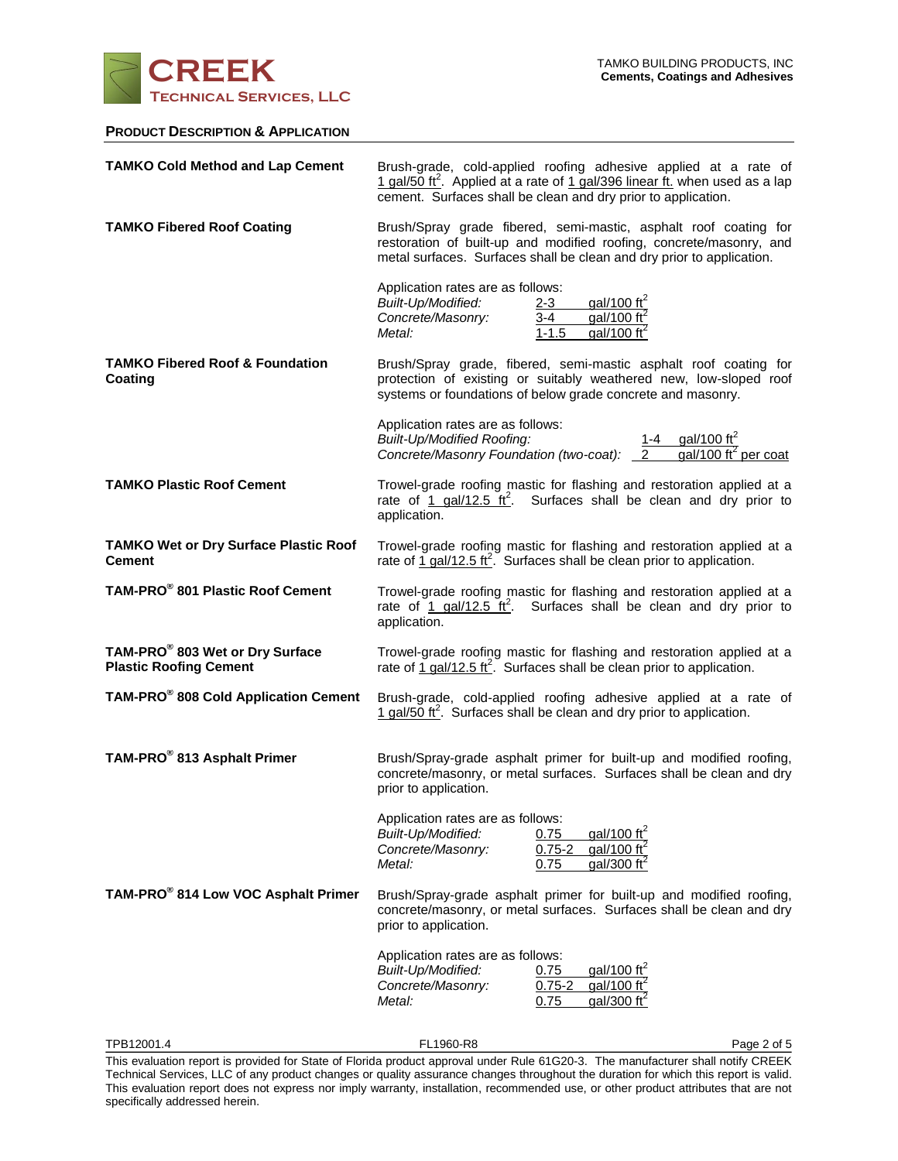

### **PRODUCT DESCRIPTION & APPLICATION**

| <b>TAMKO Cold Method and Lap Cement</b>                          | Brush-grade, cold-applied roofing adhesive applied at a rate of<br>1 gal/50 ft <sup>2</sup> . Applied at a rate of 1 gal/396 linear ft. when used as a lap<br>cement. Surfaces shall be clean and dry prior to application. |  |  |  |
|------------------------------------------------------------------|-----------------------------------------------------------------------------------------------------------------------------------------------------------------------------------------------------------------------------|--|--|--|
| <b>TAMKO Fibered Roof Coating</b>                                | Brush/Spray grade fibered, semi-mastic, asphalt roof coating for<br>restoration of built-up and modified roofing, concrete/masonry, and<br>metal surfaces. Surfaces shall be clean and dry prior to application.            |  |  |  |
|                                                                  | Application rates are as follows:<br>gal/100 ft <sup>2</sup><br>Built-Up/Modified:<br><u>2-3</u><br>gal/100 $\text{ft}^2$<br>$3 - 4$<br>Concrete/Masonry:<br>gal/100 $\text{ft}^2$<br>Metal:<br>$1 - 1.5$                   |  |  |  |
| <b>TAMKO Fibered Roof &amp; Foundation</b><br>Coating            | Brush/Spray grade, fibered, semi-mastic asphalt roof coating for<br>protection of existing or suitably weathered new, low-sloped roof<br>systems or foundations of below grade concrete and masonry.                        |  |  |  |
|                                                                  | Application rates are as follows:<br>1-4 gal/100 ft <sup>2</sup><br><b>Built-Up/Modified Roofing:</b><br>Concrete/Masonry Foundation (two-coat): 2<br>$qal/100 \text{ ft}^2$ per coat                                       |  |  |  |
| <b>TAMKO Plastic Roof Cement</b>                                 | Trowel-grade roofing mastic for flashing and restoration applied at a<br>rate of 1 gal/12.5 $\text{ft}^2$ . Surfaces shall be clean and dry prior to<br>application.                                                        |  |  |  |
| <b>TAMKO Wet or Dry Surface Plastic Roof</b><br><b>Cement</b>    | Trowel-grade roofing mastic for flashing and restoration applied at a<br>rate of 1 gal/12.5 $\text{ft}^2$ . Surfaces shall be clean prior to application.                                                                   |  |  |  |
| TAM-PRO <sup>®</sup> 801 Plastic Roof Cement                     | Trowel-grade roofing mastic for flashing and restoration applied at a<br>rate of 1 gal/12.5 $\text{ft}^2$ . Surfaces shall be clean and dry prior to<br>application.                                                        |  |  |  |
| TAM-PRO® 803 Wet or Dry Surface<br><b>Plastic Roofing Cement</b> | Trowel-grade roofing mastic for flashing and restoration applied at a<br>rate of $\frac{1}{1}$ gal/12.5 ft <sup>2</sup> . Surfaces shall be clean prior to application.                                                     |  |  |  |
| TAM-PRO <sup>®</sup> 808 Cold Application Cement                 | Brush-grade, cold-applied roofing adhesive applied at a rate of<br>1 gal/50 ft <sup>2</sup> . Surfaces shall be clean and dry prior to application.                                                                         |  |  |  |
| TAM-PRO <sup>®</sup> 813 Asphalt Primer                          | Brush/Spray-grade asphalt primer for built-up and modified roofing,<br>concrete/masonry, or metal surfaces. Surfaces shall be clean and dry<br>prior to application.                                                        |  |  |  |
|                                                                  | Application rates are as follows:<br>gal/100 ft <sup>2</sup><br>Built-Up/Modified:<br>0.75<br>gal/100 $\text{ft}^2$<br>Concrete/Masonry:<br>$0.75 - 2$<br>gal/300 $\text{ft}^2$<br>Metal:<br>0.75                           |  |  |  |
| TAM-PRO® 814 Low VOC Asphalt Primer                              | Brush/Spray-grade asphalt primer for built-up and modified roofing,<br>concrete/masonry, or metal surfaces. Surfaces shall be clean and dry<br>prior to application.                                                        |  |  |  |
|                                                                  | Application rates are as follows:<br>gal/100 ft <sup>2</sup><br>Built-Up/Modified:<br>0.75<br>gal/100 $\text{ft}^2$<br>$0.75 - 2$<br>Concrete/Masonry:<br>gal/300 $\text{ft}^2$<br>Metal:<br>0.75                           |  |  |  |

TPB12001.4 FL1960-R8 Page 2 of 5 Page 2 of 5 This evaluation report is provided for State of Florida product approval under Rule 61G20-3. The manufacturer shall notify CREEK Technical Services, LLC of any product changes or quality assurance changes throughout the duration for which this report is valid. This evaluation report does not express nor imply warranty, installation, recommended use, or other product attributes that are not specifically addressed herein.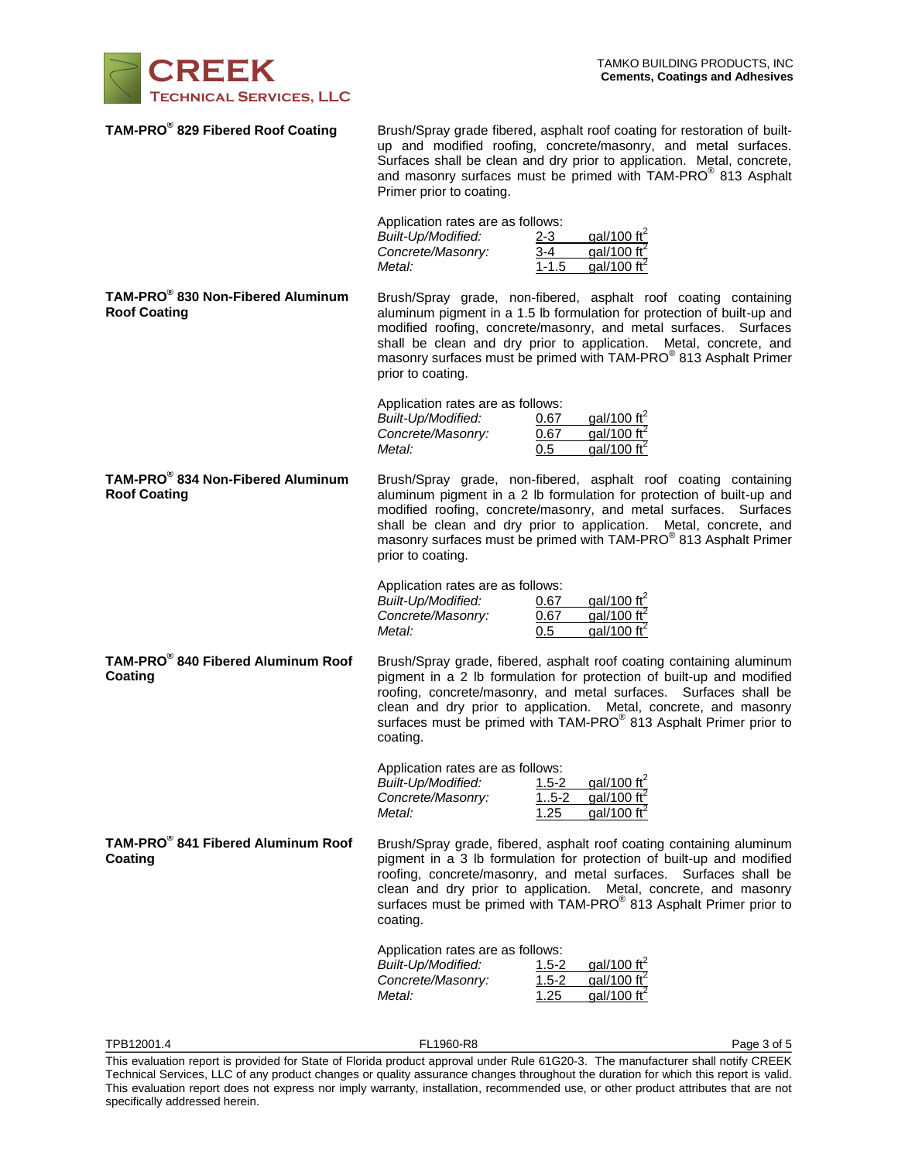

| TAM-PRO® 829 Fibered Roof Coating                                    | Primer prior to coating.                                                               | Brush/Spray grade fibered, asphalt roof coating for restoration of built-<br>up and modified roofing, concrete/masonry, and metal surfaces.<br>Surfaces shall be clean and dry prior to application. Metal, concrete,<br>and masonry surfaces must be primed with TAM-PRO <sup>®</sup> 813 Asphalt                                                                     |             |  |
|----------------------------------------------------------------------|----------------------------------------------------------------------------------------|------------------------------------------------------------------------------------------------------------------------------------------------------------------------------------------------------------------------------------------------------------------------------------------------------------------------------------------------------------------------|-------------|--|
|                                                                      | Application rates are as follows:<br>Built-Up/Modified:<br>Concrete/Masonry:<br>Metal: | gal/100 $\text{ft}^2$<br>$2 - 3$<br>gal/100 $\text{ft}^2$<br>3-4<br>gal/100 $\text{ft}^2$<br>$1 - 1.5$                                                                                                                                                                                                                                                                 |             |  |
| TAM-PRO <sup>®</sup> 830 Non-Fibered Aluminum<br><b>Roof Coating</b> | prior to coating.                                                                      | Brush/Spray grade, non-fibered, asphalt roof coating containing<br>aluminum pigment in a 1.5 lb formulation for protection of built-up and<br>modified roofing, concrete/masonry, and metal surfaces. Surfaces<br>shall be clean and dry prior to application. Metal, concrete, and<br>masonry surfaces must be primed with TAM-PRO <sup>®</sup> 813 Asphalt Primer    |             |  |
|                                                                      | Application rates are as follows:<br>Built-Up/Modified:<br>Concrete/Masonry:<br>Metal: | gal/100 ft <sup>2</sup><br>0.67<br>gal/100 $\text{ft}^2$<br>0.67<br>0.5<br>gal/100 ft <sup>2</sup>                                                                                                                                                                                                                                                                     |             |  |
| TAM-PRO <sup>®</sup> 834 Non-Fibered Aluminum<br><b>Roof Coating</b> | prior to coating.                                                                      | Brush/Spray grade, non-fibered, asphalt roof coating containing<br>aluminum pigment in a 2 lb formulation for protection of built-up and<br>modified roofing, concrete/masonry, and metal surfaces. Surfaces<br>shall be clean and dry prior to application. Metal, concrete, and<br>masonry surfaces must be primed with TAM-PRO <sup>®</sup> 813 Asphalt Primer      |             |  |
|                                                                      | Application rates are as follows:<br>Built-Up/Modified:<br>Concrete/Masonry:<br>Metal: | gal/100 ft <sup>2</sup><br>0.67<br>gal/100 ft <sup>2</sup><br>0.67<br>gal/100 $\text{ft}^2$<br>0.5                                                                                                                                                                                                                                                                     |             |  |
| TAM-PRO <sup>®</sup> 840 Fibered Aluminum Roof<br>Coating            | coating.                                                                               | Brush/Spray grade, fibered, asphalt roof coating containing aluminum<br>pigment in a 2 lb formulation for protection of built-up and modified<br>roofing, concrete/masonry, and metal surfaces. Surfaces shall be<br>clean and dry prior to application. Metal, concrete, and masonry<br>surfaces must be primed with TAM-PRO <sup>®</sup> 813 Asphalt Primer prior to |             |  |
|                                                                      | Application rates are as follows:<br>Built-Up/Modified:<br>Concrete/Masonry:<br>Metal: | gal/100 ft <sup>2</sup><br>$1.5 - 2$<br>$.5 - 2$<br>gal/100 ft <sup>2</sup><br>gal/100 ft <sup>2</sup><br>1.25                                                                                                                                                                                                                                                         |             |  |
| TAM-PRO <sup>®</sup> 841 Fibered Aluminum Roof<br><b>Coating</b>     | coating.                                                                               | Brush/Spray grade, fibered, asphalt roof coating containing aluminum<br>pigment in a 3 lb formulation for protection of built-up and modified<br>roofing, concrete/masonry, and metal surfaces. Surfaces shall be<br>clean and dry prior to application. Metal, concrete, and masonry<br>surfaces must be primed with TAM-PRO® 813 Asphalt Primer prior to             |             |  |
|                                                                      | Application rates are as follows:<br>Built-Up/Modified:<br>Concrete/Masonry:<br>Metal: | gal/100 ft <sup>2</sup><br>$1.5 - 2$<br>gal/100 $\text{ft}^2$<br>$1.5 - 2$<br>1.25<br>gal/100 $\text{ft}^2$                                                                                                                                                                                                                                                            |             |  |
| TPB12001.4                                                           | FL1960-R8                                                                              |                                                                                                                                                                                                                                                                                                                                                                        | Page 3 of 5 |  |

This evaluation report is provided for State of Florida product approval under Rule 61G20-3. The manufacturer shall notify CREEK Technical Services, LLC of any product changes or quality assurance changes throughout the duration for which this report is valid. This evaluation report does not express nor imply warranty, installation, recommended use, or other product attributes that are not specifically addressed herein.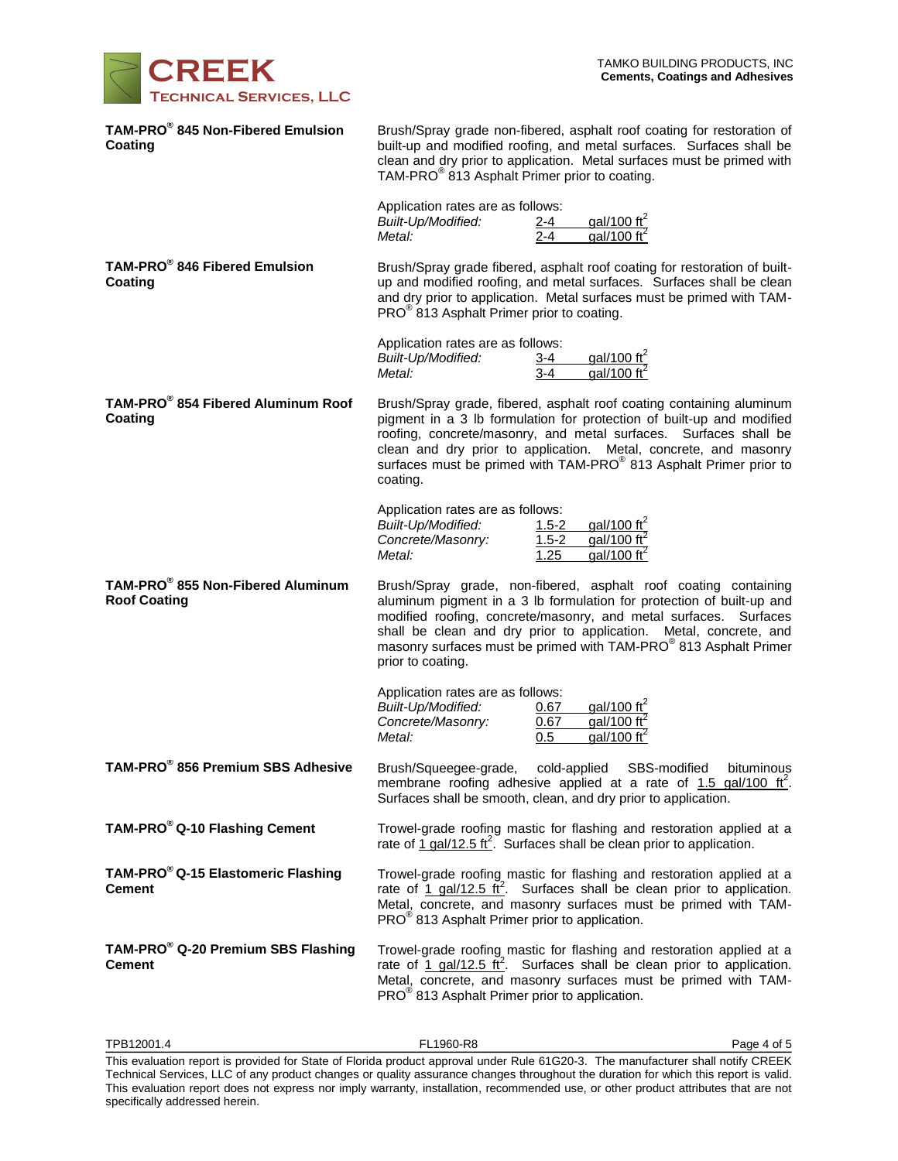

| TAM-PRO <sup>®</sup> 845 Non-Fibered Emulsion<br>Coating        | Brush/Spray grade non-fibered, asphalt roof coating for restoration of<br>built-up and modified roofing, and metal surfaces. Surfaces shall be<br>clean and dry prior to application. Metal surfaces must be primed with<br>TAM-PRO <sup>®</sup> 813 Asphalt Primer prior to coating.                                                                                      |  |  |
|-----------------------------------------------------------------|----------------------------------------------------------------------------------------------------------------------------------------------------------------------------------------------------------------------------------------------------------------------------------------------------------------------------------------------------------------------------|--|--|
|                                                                 | Application rates are as follows:<br>gal/100 ft <sup>2</sup><br>gal/100 ft <sup>2</sup><br><b>Built-Up/Modified:</b><br>$2 - 4$<br>$2 - 4$<br>Metal:                                                                                                                                                                                                                       |  |  |
| TAM-PRO <sup>®</sup> 846 Fibered Emulsion<br>Coating            | Brush/Spray grade fibered, asphalt roof coating for restoration of built-<br>up and modified roofing, and metal surfaces. Surfaces shall be clean<br>and dry prior to application. Metal surfaces must be primed with TAM-<br>PRO <sup>®</sup> 813 Asphalt Primer prior to coating.                                                                                        |  |  |
|                                                                 | Application rates are as follows:<br>gal/100 ft <sup>2</sup><br>Built-Up/Modified:<br><u>3-4</u><br>$\frac{1}{3-4}$<br>gal/100 $\text{ft}^2$<br>Metal:                                                                                                                                                                                                                     |  |  |
| TAM-PRO <sup>®</sup> 854 Fibered Aluminum Roof<br>Coating       | Brush/Spray grade, fibered, asphalt roof coating containing aluminum<br>pigment in a 3 lb formulation for protection of built-up and modified<br>roofing, concrete/masonry, and metal surfaces. Surfaces shall be<br>clean and dry prior to application. Metal, concrete, and masonry<br>surfaces must be primed with TAM-PRO® 813 Asphalt Primer prior to<br>coating.     |  |  |
|                                                                 | Application rates are as follows:<br>gal/100 $\text{ft}^2$<br>Built-Up/Modified:<br>$1.5 - 2$<br>gal/100 $\text{ft}^2$<br>$1.5 - 2$<br>Concrete/Masonry:<br>Metal:<br>gal/100 ft <sup>2</sup><br>1.25                                                                                                                                                                      |  |  |
| TAM-PRO® 855 Non-Fibered Aluminum<br><b>Roof Coating</b>        | Brush/Spray grade, non-fibered, asphalt roof coating containing<br>aluminum pigment in a 3 lb formulation for protection of built-up and<br>modified roofing, concrete/masonry, and metal surfaces. Surfaces<br>shall be clean and dry prior to application. Metal, concrete, and<br>masonry surfaces must be primed with TAM-PRO® 813 Asphalt Primer<br>prior to coating. |  |  |
|                                                                 | Application rates are as follows:<br>gal/100 ft <sup>2</sup><br>Built-Up/Modified:<br>0.67<br>gal/100 ft <sup>2</sup><br>Concrete/Masonry:<br>0.67<br>$qal/100 \text{ ft}^2$<br>Metal:<br>0.5                                                                                                                                                                              |  |  |
| TAM-PRO® 856 Premium SBS Adhesive                               | Brush/Squeegee-grade,<br>cold-applied<br>SBS-modified<br>bituminous<br>membrane roofing adhesive applied at a rate of $1.5$ gal/100 ft <sup>2</sup> .<br>Surfaces shall be smooth, clean, and dry prior to application.                                                                                                                                                    |  |  |
| TAM-PRO <sup>®</sup> Q-10 Flashing Cement                       | Trowel-grade roofing mastic for flashing and restoration applied at a<br>rate of 1 gal/12.5 ft <sup>2</sup> . Surfaces shall be clean prior to application.                                                                                                                                                                                                                |  |  |
| TAM-PRO <sup>®</sup> Q-15 Elastomeric Flashing<br><b>Cement</b> | Trowel-grade roofing mastic for flashing and restoration applied at a<br>rate of 1 gal/12.5 ft <sup>2</sup> . Surfaces shall be clean prior to application.<br>Metal, concrete, and masonry surfaces must be primed with TAM-<br>PRO <sup>®</sup> 813 Asphalt Primer prior to application.                                                                                 |  |  |
| TAM-PRO <sup>®</sup> Q-20 Premium SBS Flashing<br><b>Cement</b> | Trowel-grade roofing mastic for flashing and restoration applied at a<br>rate of $\frac{1 \text{ gal}}{12.5 \text{ ft}^2}$ . Surfaces shall be clean prior to application.<br>Metal, concrete, and masonry surfaces must be primed with TAM-<br>PRO <sup>®</sup> 813 Asphalt Primer prior to application.                                                                  |  |  |

This evaluation report is provided for State of Florida product approval under Rule 61G20-3. The manufacturer shall notify CREEK Technical Services, LLC of any product changes or quality assurance changes throughout the duration for which this report is valid. This evaluation report does not express nor imply warranty, installation, recommended use, or other product attributes that are not specifically addressed herein.

 $\textsf{TPB12001.4}\quad\textsf{P1960-R8}\quad\textsf{P1960-R8}\quad\textsf{P201.4}\quad\textsf{P369-R97}\quad\textsf{P4769-R17}\quad\textsf{P17699-R27}\quad\textsf{P17699-R17}\quad\textsf{P17699-R17}\quad\textsf{P17699-R17}\quad\textsf{P17699-R17}\quad\textsf{P17699-R17}\quad\textsf{P17699-R17}\quad\textsf{P17699-R17}\quad\textsf{P17699-R17}\quad\textsf{P$